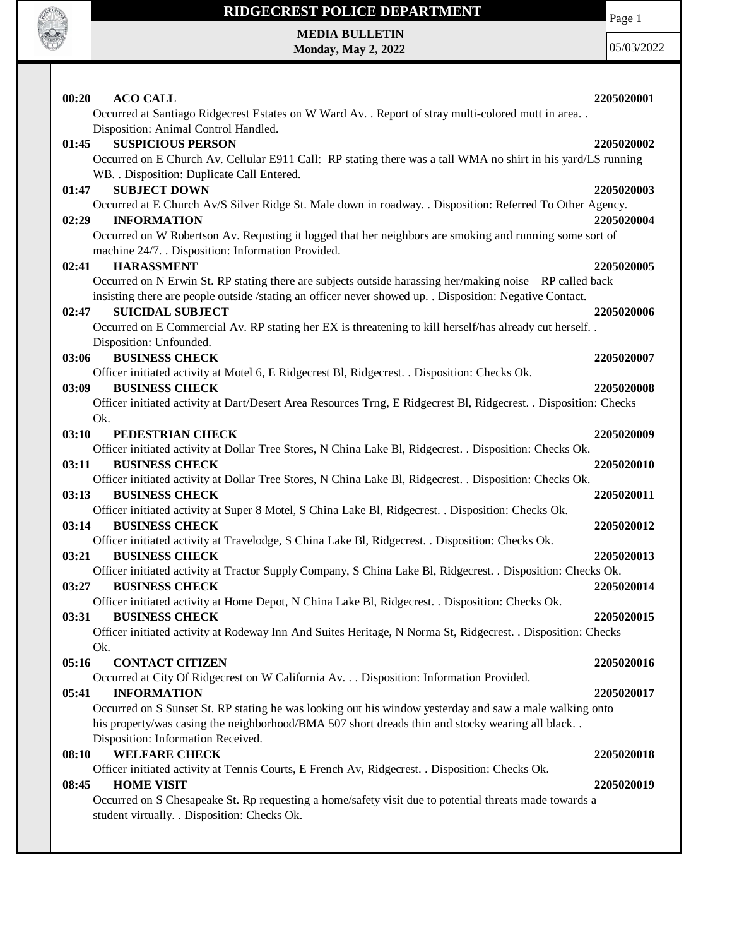

## **RIDGECREST POLICE DEPARTMENT**

Page 1

**MEDIA BULLETIN Monday, May 2, 2022**

| 00:20<br><b>ACO CALL</b>                                                                                                           | 2205020001 |
|------------------------------------------------------------------------------------------------------------------------------------|------------|
| Occurred at Santiago Ridgecrest Estates on W Ward Av. . Report of stray multi-colored mutt in area                                 |            |
| Disposition: Animal Control Handled.                                                                                               |            |
| <b>SUSPICIOUS PERSON</b><br>01:45                                                                                                  | 2205020002 |
| Occurred on E Church Av. Cellular E911 Call: RP stating there was a tall WMA no shirt in his yard/LS running                       |            |
| WB. . Disposition: Duplicate Call Entered.                                                                                         |            |
| <b>SUBJECT DOWN</b><br>01:47                                                                                                       | 2205020003 |
| Occurred at E Church Av/S Silver Ridge St. Male down in roadway. . Disposition: Referred To Other Agency.                          |            |
| 02:29<br><b>INFORMATION</b>                                                                                                        | 2205020004 |
| Occurred on W Robertson Av. Requsting it logged that her neighbors are smoking and running some sort of                            |            |
| machine 24/7. . Disposition: Information Provided.                                                                                 |            |
| 02:41<br><b>HARASSMENT</b>                                                                                                         | 2205020005 |
| Occurred on N Erwin St. RP stating there are subjects outside harassing her/making noise RP called back                            |            |
| insisting there are people outside /stating an officer never showed up. . Disposition: Negative Contact.                           |            |
| 02:47<br><b>SUICIDAL SUBJECT</b>                                                                                                   | 2205020006 |
| Occurred on E Commercial Av. RP stating her EX is threatening to kill herself/has already cut herself                              |            |
| Disposition: Unfounded.                                                                                                            |            |
| <b>BUSINESS CHECK</b><br>03:06                                                                                                     | 2205020007 |
| Officer initiated activity at Motel 6, E Ridgecrest Bl, Ridgecrest. . Disposition: Checks Ok.                                      |            |
| <b>BUSINESS CHECK</b><br>03:09                                                                                                     | 2205020008 |
| Officer initiated activity at Dart/Desert Area Resources Trng, E Ridgecrest Bl, Ridgecrest. . Disposition: Checks                  |            |
| Ok.                                                                                                                                |            |
| PEDESTRIAN CHECK<br>03:10                                                                                                          | 2205020009 |
| Officer initiated activity at Dollar Tree Stores, N China Lake Bl, Ridgecrest. . Disposition: Checks Ok.                           |            |
| 03:11<br><b>BUSINESS CHECK</b>                                                                                                     | 2205020010 |
| Officer initiated activity at Dollar Tree Stores, N China Lake Bl, Ridgecrest. . Disposition: Checks Ok.                           |            |
| 03:13<br><b>BUSINESS CHECK</b>                                                                                                     | 2205020011 |
| Officer initiated activity at Super 8 Motel, S China Lake Bl, Ridgecrest. . Disposition: Checks Ok.                                |            |
| 03:14<br><b>BUSINESS CHECK</b>                                                                                                     | 2205020012 |
| Officer initiated activity at Travelodge, S China Lake Bl, Ridgecrest. . Disposition: Checks Ok.<br>03:21<br><b>BUSINESS CHECK</b> | 2205020013 |
| Officer initiated activity at Tractor Supply Company, S China Lake Bl, Ridgecrest. . Disposition: Checks Ok.                       |            |
| <b>BUSINESS CHECK</b><br>03:27                                                                                                     | 2205020014 |
| Officer initiated activity at Home Depot, N China Lake Bl, Ridgecrest. . Disposition: Checks Ok.                                   |            |
| 03:31<br><b>BUSINESS CHECK</b>                                                                                                     | 2205020015 |
| Officer initiated activity at Rodeway Inn And Suites Heritage, N Norma St, Ridgecrest. . Disposition: Checks                       |            |
| Ok.                                                                                                                                |            |
| <b>CONTACT CITIZEN</b><br>05:16                                                                                                    | 2205020016 |
| Occurred at City Of Ridgecrest on W California Av. Disposition: Information Provided.                                              |            |
| <b>INFORMATION</b><br>05:41                                                                                                        | 2205020017 |
| Occurred on S Sunset St. RP stating he was looking out his window yesterday and saw a male walking onto                            |            |
| his property/was casing the neighborhood/BMA 507 short dreads thin and stocky wearing all black                                    |            |
| Disposition: Information Received.                                                                                                 |            |
| <b>WELFARE CHECK</b><br>08:10                                                                                                      | 2205020018 |
| Officer initiated activity at Tennis Courts, E French Av, Ridgecrest. . Disposition: Checks Ok.                                    |            |
| <b>HOME VISIT</b><br>08:45                                                                                                         | 2205020019 |
| Occurred on S Chesapeake St. Rp requesting a home/safety visit due to potential threats made towards a                             |            |
| student virtually. . Disposition: Checks Ok.                                                                                       |            |
|                                                                                                                                    |            |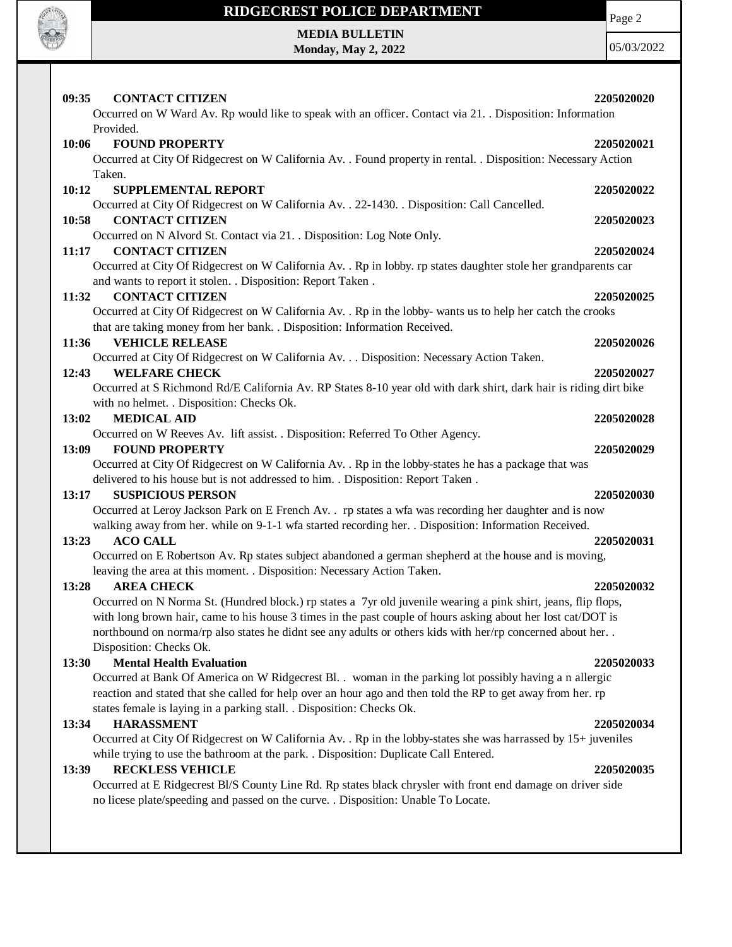

## **RIDGECREST POLICE DEPARTMENT MEDIA BULLETIN**

**Monday, May 2, 2022**

Page 2

| <b>CONTACT CITIZEN</b><br>09:35                                                                                                   | 2205020020 |
|-----------------------------------------------------------------------------------------------------------------------------------|------------|
| Occurred on W Ward Av. Rp would like to speak with an officer. Contact via 21. . Disposition: Information                         |            |
| Provided.                                                                                                                         |            |
| <b>FOUND PROPERTY</b><br>10:06                                                                                                    | 2205020021 |
| Occurred at City Of Ridgecrest on W California Av. . Found property in rental. . Disposition: Necessary Action                    |            |
| Taken.                                                                                                                            |            |
| <b>SUPPLEMENTAL REPORT</b><br>10:12                                                                                               | 2205020022 |
| Occurred at City Of Ridgecrest on W California Av. . 22-1430. . Disposition: Call Cancelled.                                      |            |
| 10:58<br><b>CONTACT CITIZEN</b>                                                                                                   | 2205020023 |
| Occurred on N Alvord St. Contact via 21. . Disposition: Log Note Only.                                                            |            |
| <b>CONTACT CITIZEN</b><br>11:17                                                                                                   | 2205020024 |
| Occurred at City Of Ridgecrest on W California Av. . Rp in lobby. rp states daughter stole her grandparents car                   |            |
| and wants to report it stolen. . Disposition: Report Taken.                                                                       |            |
| <b>CONTACT CITIZEN</b><br>11:32                                                                                                   | 2205020025 |
| Occurred at City Of Ridgecrest on W California Av. . Rp in the lobby- wants us to help her catch the crooks                       |            |
| that are taking money from her bank. . Disposition: Information Received.                                                         |            |
| <b>VEHICLE RELEASE</b><br>11:36                                                                                                   | 2205020026 |
| Occurred at City Of Ridgecrest on W California Av. Disposition: Necessary Action Taken.                                           |            |
| <b>WELFARE CHECK</b><br>12:43                                                                                                     | 2205020027 |
| Occurred at S Richmond Rd/E California Av. RP States 8-10 year old with dark shirt, dark hair is riding dirt bike                 |            |
| with no helmet. . Disposition: Checks Ok.                                                                                         |            |
| 13:02<br><b>MEDICAL AID</b>                                                                                                       | 2205020028 |
| Occurred on W Reeves Av. lift assist. . Disposition: Referred To Other Agency.                                                    |            |
| 13:09<br><b>FOUND PROPERTY</b>                                                                                                    | 2205020029 |
| Occurred at City Of Ridgecrest on W California Av. . Rp in the lobby-states he has a package that was                             |            |
| delivered to his house but is not addressed to him. . Disposition: Report Taken.                                                  |            |
| <b>SUSPICIOUS PERSON</b><br>13:17                                                                                                 | 2205020030 |
| Occurred at Leroy Jackson Park on E French Av. . rp states a wfa was recording her daughter and is now                            |            |
| walking away from her. while on 9-1-1 wfa started recording her. . Disposition: Information Received.<br><b>ACO CALL</b><br>13:23 | 2205020031 |
| Occurred on E Robertson Av. Rp states subject abandoned a german shepherd at the house and is moving,                             |            |
| leaving the area at this moment. . Disposition: Necessary Action Taken.                                                           |            |
| 13:28<br><b>AREA CHECK</b>                                                                                                        | 2205020032 |
| Occurred on N Norma St. (Hundred block.) rp states a 7yr old juvenile wearing a pink shirt, jeans, flip flops,                    |            |
| with long brown hair, came to his house 3 times in the past couple of hours asking about her lost cat/DOT is                      |            |
| northbound on norma/rp also states he didnt see any adults or others kids with her/rp concerned about her                         |            |
| Disposition: Checks Ok.                                                                                                           |            |
| <b>Mental Health Evaluation</b><br>13:30                                                                                          | 2205020033 |
| Occurred at Bank Of America on W Ridgecrest Bl. . woman in the parking lot possibly having a n allergic                           |            |
| reaction and stated that she called for help over an hour ago and then told the RP to get away from her. rp                       |            |
| states female is laying in a parking stall. . Disposition: Checks Ok.                                                             |            |
| <b>HARASSMENT</b><br>13:34                                                                                                        | 2205020034 |
| Occurred at City Of Ridgecrest on W California Av. . Rp in the lobby-states she was harrassed by 15+ juveniles                    |            |
| while trying to use the bathroom at the park. . Disposition: Duplicate Call Entered.                                              |            |
| 13:39<br><b>RECKLESS VEHICLE</b>                                                                                                  | 2205020035 |
| Occurred at E Ridgecrest Bl/S County Line Rd. Rp states black chrysler with front end damage on driver side                       |            |
| no licese plate/speeding and passed on the curve. . Disposition: Unable To Locate.                                                |            |
|                                                                                                                                   |            |
|                                                                                                                                   |            |
|                                                                                                                                   |            |
|                                                                                                                                   |            |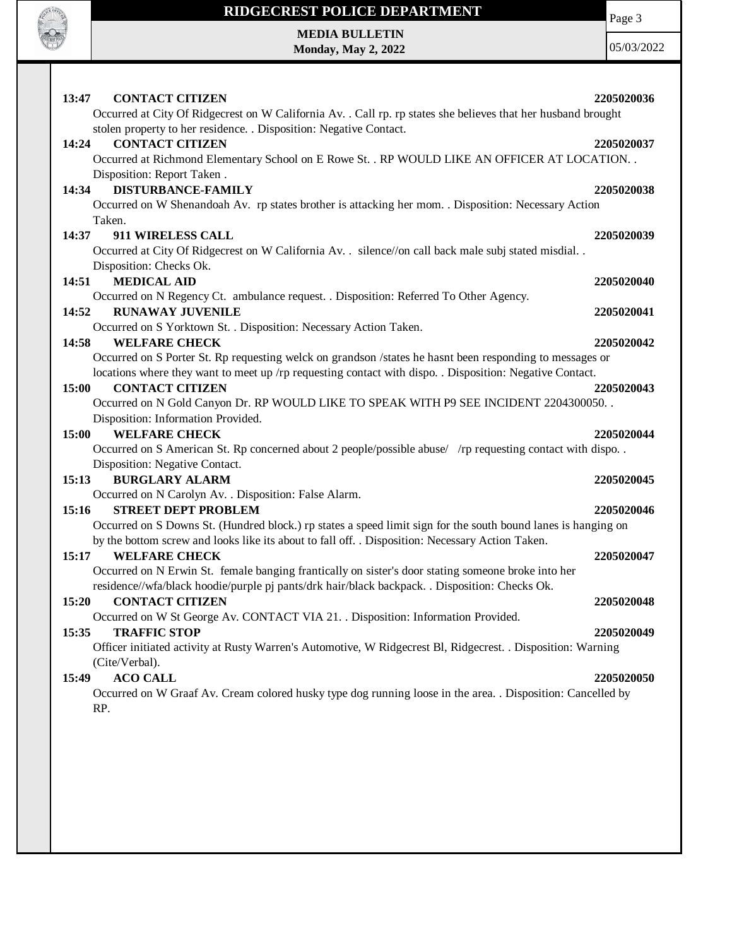

## **RIDGECREST POLICE DEPARTMENT MEDIA BULLETIN**

**Monday, May 2, 2022**

Page 3

| <b>CONTACT CITIZEN</b><br>13:47                                                                                  | 2205020036 |
|------------------------------------------------------------------------------------------------------------------|------------|
| Occurred at City Of Ridgecrest on W California Av. . Call rp. rp states she believes that her husband brought    |            |
| stolen property to her residence. . Disposition: Negative Contact.                                               |            |
| <b>CONTACT CITIZEN</b><br>14:24                                                                                  | 2205020037 |
| Occurred at Richmond Elementary School on E Rowe St. . RP WOULD LIKE AN OFFICER AT LOCATION. .                   |            |
| Disposition: Report Taken.                                                                                       |            |
| <b>DISTURBANCE-FAMILY</b><br>14:34                                                                               | 2205020038 |
| Occurred on W Shenandoah Av. rp states brother is attacking her mom. . Disposition: Necessary Action             |            |
| Taken.                                                                                                           |            |
| 14:37<br>911 WIRELESS CALL                                                                                       | 2205020039 |
| Occurred at City Of Ridgecrest on W California Av. . silence//on call back male subj stated misdial. .           |            |
| Disposition: Checks Ok.                                                                                          |            |
| 14:51<br><b>MEDICAL AID</b>                                                                                      | 2205020040 |
| Occurred on N Regency Ct. ambulance request. . Disposition: Referred To Other Agency.<br><b>RUNAWAY JUVENILE</b> |            |
| 14:52                                                                                                            | 2205020041 |
| Occurred on S Yorktown St. . Disposition: Necessary Action Taken.<br>14:58<br><b>WELFARE CHECK</b>               | 2205020042 |
| Occurred on S Porter St. Rp requesting welck on grandson /states he hasnt been responding to messages or         |            |
| locations where they want to meet up /rp requesting contact with dispo. . Disposition: Negative Contact.         |            |
| <b>CONTACT CITIZEN</b><br>15:00                                                                                  | 2205020043 |
| Occurred on N Gold Canyon Dr. RP WOULD LIKE TO SPEAK WITH P9 SEE INCIDENT 2204300050.                            |            |
| Disposition: Information Provided.                                                                               |            |
| <b>WELFARE CHECK</b><br>15:00                                                                                    | 2205020044 |
| Occurred on S American St. Rp concerned about 2 people/possible abuse/ /rp requesting contact with dispo. .      |            |
| Disposition: Negative Contact.                                                                                   |            |
| <b>BURGLARY ALARM</b><br>15:13                                                                                   | 2205020045 |
| Occurred on N Carolyn Av. . Disposition: False Alarm.                                                            |            |
| 15:16<br><b>STREET DEPT PROBLEM</b>                                                                              | 2205020046 |
| Occurred on S Downs St. (Hundred block.) rp states a speed limit sign for the south bound lanes is hanging on    |            |
| by the bottom screw and looks like its about to fall off. . Disposition: Necessary Action Taken.                 |            |
| <b>WELFARE CHECK</b><br>15:17                                                                                    | 2205020047 |
| Occurred on N Erwin St. female banging frantically on sister's door stating someone broke into her               |            |
| residence//wfa/black hoodie/purple pj pants/drk hair/black backpack. . Disposition: Checks Ok.                   |            |
| <b>CONTACT CITIZEN</b><br>15:20                                                                                  | 2205020048 |
| Occurred on W St George Av. CONTACT VIA 21. . Disposition: Information Provided.                                 |            |
| <b>TRAFFIC STOP</b><br>15:35                                                                                     | 2205020049 |
| Officer initiated activity at Rusty Warren's Automotive, W Ridgecrest Bl, Ridgecrest. . Disposition: Warning     |            |
| (Cite/Verbal).                                                                                                   |            |
| <b>ACO CALL</b><br>15:49                                                                                         | 2205020050 |
| Occurred on W Graaf Av. Cream colored husky type dog running loose in the area. . Disposition: Cancelled by      |            |
| RP.                                                                                                              |            |
|                                                                                                                  |            |
|                                                                                                                  |            |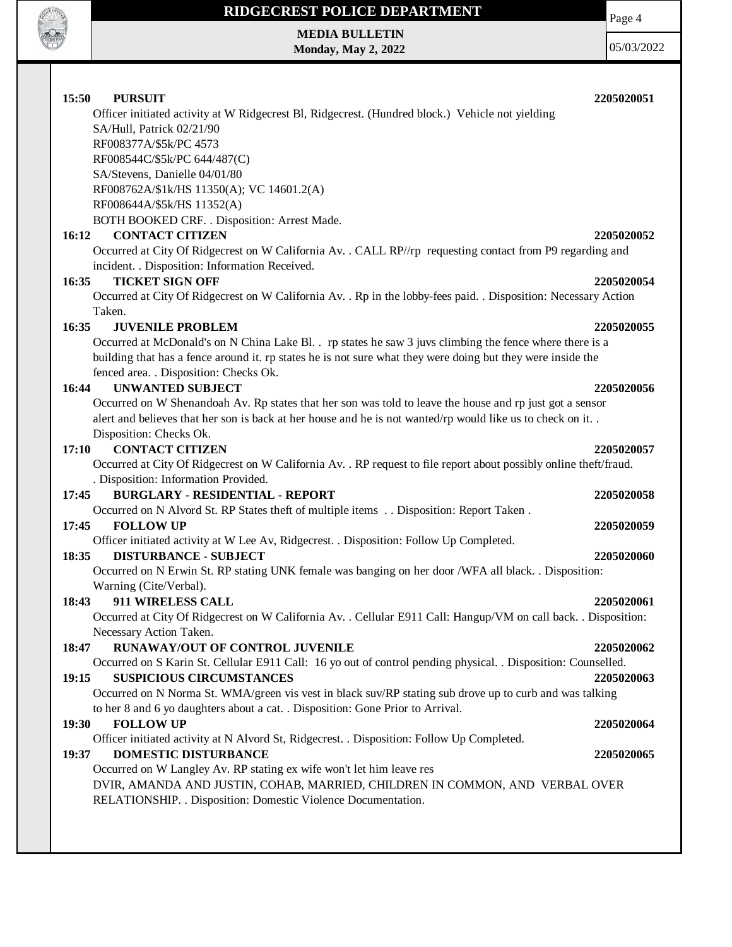